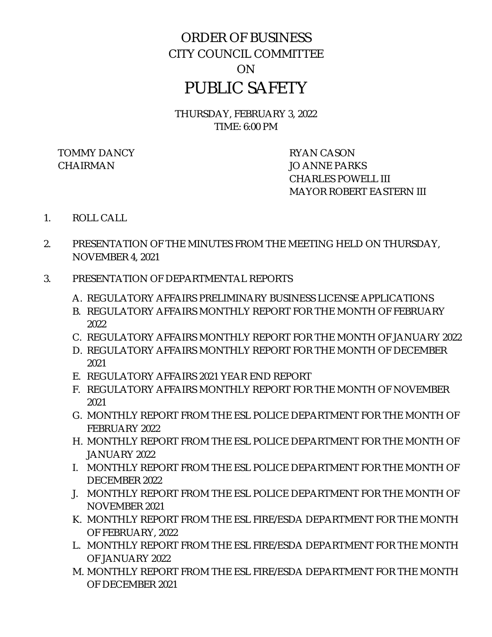# ORDER OF BUSINESS CITY COUNCIL COMMITTEE ON PUBLIC SAFETY

THURSDAY, FEBRUARY 3, 2022 TIME: 6:00 PM

TOMMY DANCY RYAN CASON CHAIRMAN JO ANNE PARKS

CHARLES POWELL III MAYOR ROBERT EASTERN III

- 1. ROLL CALL
- 2. PRESENTATION OF THE MINUTES FROM THE MEETING HELD ON THURSDAY, NOVEMBER 4, 2021
- 3. PRESENTATION OF DEPARTMENTAL REPORTS
	- A. REGULATORY AFFAIRS PRELIMINARY BUSINESS LICENSE APPLICATIONS
	- B. REGULATORY AFFAIRS MONTHLY REPORT FOR THE MONTH OF FEBRUARY 2022
	- C. REGULATORY AFFAIRS MONTHLY REPORT FOR THE MONTH OF JANUARY 2022
	- D. REGULATORY AFFAIRS MONTHLY REPORT FOR THE MONTH OF DECEMBER 2021
	- E. REGULATORY AFFAIRS 2021 YEAR END REPORT
	- F. REGULATORY AFFAIRS MONTHLY REPORT FOR THE MONTH OF NOVEMBER 2021
	- G. MONTHLY REPORT FROM THE ESL POLICE DEPARTMENT FOR THE MONTH OF FEBRUARY 2022
	- H. MONTHLY REPORT FROM THE ESL POLICE DEPARTMENT FOR THE MONTH OF JANUARY 2022
	- I. MONTHLY REPORT FROM THE ESL POLICE DEPARTMENT FOR THE MONTH OF DECEMBER 2022
	- J. MONTHLY REPORT FROM THE ESL POLICE DEPARTMENT FOR THE MONTH OF NOVEMBER 2021
	- K. MONTHLY REPORT FROM THE ESL FIRE/ESDA DEPARTMENT FOR THE MONTH OF FEBRUARY, 2022
	- L. MONTHLY REPORT FROM THE ESL FIRE/ESDA DEPARTMENT FOR THE MONTH OF JANUARY 2022
	- M. MONTHLY REPORT FROM THE ESL FIRE/ESDA DEPARTMENT FOR THE MONTH OF DECEMBER 2021